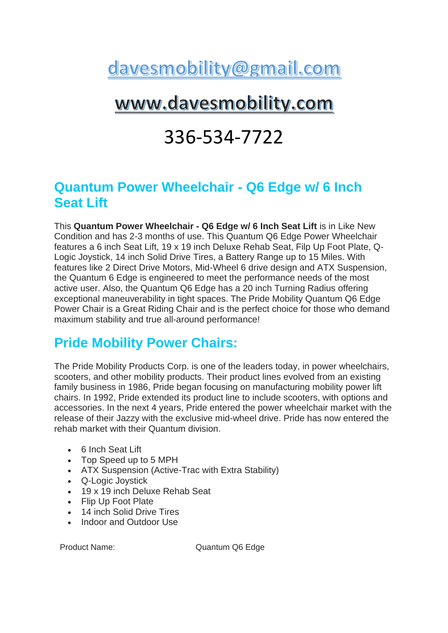# davesmobility@gmail.com

## www.davesmobility.com

## 336-534-7722

#### **Quantum Power Wheelchair - Q6 Edge w/ 6 Inch Seat Lift**

This **Quantum Power Wheelchair - Q6 Edge w/ 6 Inch Seat Lift** is in Like New Condition and has 2-3 months of use. This Quantum Q6 Edge Power Wheelchair features a 6 inch Seat Lift, 19 x 19 inch Deluxe Rehab Seat, Filp Up Foot Plate, Q-Logic Joystick, 14 inch Solid Drive Tires, a Battery Range up to 15 Miles. With features like 2 Direct Drive Motors, Mid-Wheel 6 drive design and ATX Suspension, the Quantum 6 Edge is engineered to meet the performance needs of the most active user. Also, the Quantum Q6 Edge has a 20 inch Turning Radius offering exceptional maneuverability in tight spaces. The Pride Mobility Quantum Q6 Edge Power Chair is a Great Riding Chair and is the perfect choice for those who demand maximum stability and true all-around performance!

#### **Pride Mobility Power Chairs:**

The Pride Mobility Products Corp. is one of the leaders today, in power wheelchairs, scooters, and other mobility products. Their product lines evolved from an existing family business in 1986, Pride began focusing on manufacturing mobility power lift chairs. In 1992, Pride extended its product line to include scooters, with options and accessories. In the next 4 years, Pride entered the power wheelchair market with the release of their Jazzy with the exclusive mid-wheel drive. Pride has now entered the rehab market with their Quantum division.

- 6 Inch Seat Lift
- Top Speed up to 5 MPH
- ATX Suspension (Active-Trac with Extra Stability)
- Q-Logic Joystick
- 19 x 19 inch Deluxe Rehab Seat
- Flip Up Foot Plate
- 14 inch Solid Drive Tires
- Indoor and Outdoor Use

Product Name: Quantum Q6 Edge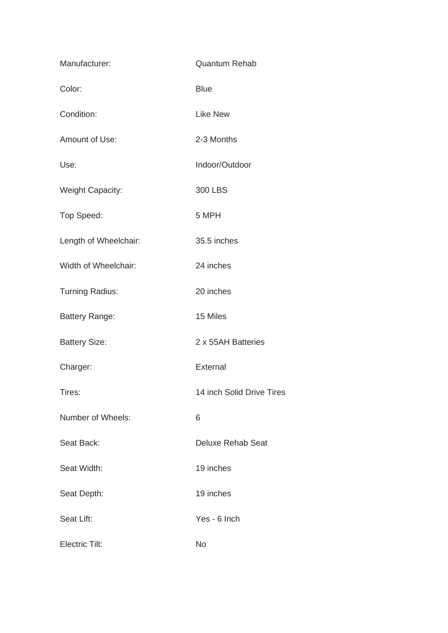| Manufacturer:           | <b>Quantum Rehab</b>      |
|-------------------------|---------------------------|
| Color:                  | <b>Blue</b>               |
| Condition:              | <b>Like New</b>           |
| Amount of Use:          | 2-3 Months                |
| Use:                    | Indoor/Outdoor            |
| <b>Weight Capacity:</b> | 300 LBS                   |
| Top Speed:              | 5 MPH                     |
| Length of Wheelchair:   | 35.5 inches               |
| Width of Wheelchair:    | 24 inches                 |
| <b>Turning Radius:</b>  | 20 inches                 |
| <b>Battery Range:</b>   | 15 Miles                  |
| <b>Battery Size:</b>    | 2 x 55AH Batteries        |
| Charger:                | External                  |
| Tires:                  | 14 inch Solid Drive Tires |
| Number of Wheels:       | 6                         |
| Seat Back:              | <b>Deluxe Rehab Seat</b>  |
| Seat Width:             | 19 inches                 |
| Seat Depth:             | 19 inches                 |
| Seat Lift:              | Yes - 6 Inch              |
| <b>Electric Tilt:</b>   | No                        |